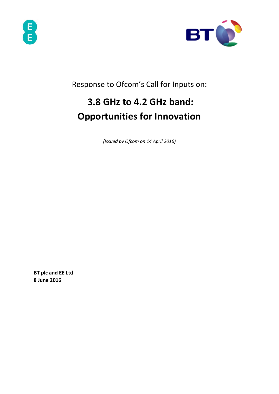



Response to Ofcom's Call for Inputs on:

# **3.8 GHz to 4.2 GHz band: Opportunities for Innovation**

*(Issued by Ofcom on 14 April 2016)* 

**BT plc and EE Ltd 8 June 2016**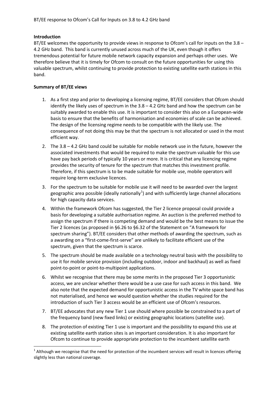#### **Introduction**

 $\overline{a}$ 

BT/EE welcomes the opportunity to provide views in response to Ofcom's call for inputs on the 3.8 – 4.2 GHz band. This band is currently unused across much of the UK, even though it offers tremendous potential for future mobile network capacity expansion and perhaps other uses. We therefore believe that it is timely for Ofcom to consult on the future opportunities for using this valuable spectrum, whilst continuing to provide protection to existing satellite earth stations in this band.

### **Summary of BT/EE views**

- 1. As a first step and prior to developing a licensing regime, BT/EE considers that Ofcom should identify the likely uses of spectrum in the 3.8 – 4.2 GHz band and how the spectrum can be suitably awarded to enable this use. It is important to consider this also on a European-wide basis to ensure that the benefits of harmonisation and economies of scale can be achieved. The design of the licensing regime needs to be compatible with the likely use. The consequence of not doing this may be that the spectrum is not allocated or used in the most efficient way.
- 2. The 3.8 4.2 GHz band could be suitable for mobile network use in the future, however the associated investments that would be required to make the spectrum valuable for this use have pay back periods of typically 10 years or more. It is critical that any licencing regime provides the security of tenure for the spectrum that matches this investment profile. Therefore, if this spectrum is to be made suitable for mobile use, mobile operators will require long-term exclusive licences.
- 3. For the spectrum to be suitable for mobile use it will need to be awarded over the largest geographic area possible (ideally nationally<sup>[1](#page-1-0)</sup>) and with sufficiently large channel allocations for high capacity data services.
- 4. Within the framework Ofcom has suggested, the Tier 2 licence proposal could provide a basis for developing a suitable authorisation regime. An auction is the preferred method to assign the spectrum if there is competing demand and would be the best means to issue the Tier 2 licences (as proposed in §6.26 to §6.32 of the Statement on "A framework for spectrum sharing"). BT/EE considers that other methods of awarding the spectrum, such as a awarding on a "first-come-first-serve" are unlikely to facilitate efficient use of the spectrum, given that the spectrum is scarce.
- 5. The spectrum should be made available on a technology neutral basis with the possibility to use it for mobile service provision (including outdoor, indoor and backhaul) as well as fixed point-to-point or point-to-multipoint applications.
- 6. Whilst we recognise that there may be some merits in the proposed Tier 3 opportunistic access, we are unclear whether there would be a use case for such access in this band. We also note that the expected demand for opportunistic access in the TV white space band has not materialised, and hence we would question whether the studies required for the introduction of such Tier 3 access would be an efficient use of Ofcom's resources.
- 7. BT/EE advocates that any new Tier 1 use should where possible be constrained to a part of the frequency band (new fixed links) or existing geographic locations (satellite use).
- 8. The protection of existing Tier 1 use is important and the possibility to expand this use at existing satellite earth station sites is an important consideration. It is also important for Ofcom to continue to provide appropriate protection to the incumbent satellite earth

<span id="page-1-0"></span> $1$  Although we recognise that the need for protection of the incumbent services will result in licences offering slightly less than national coverage.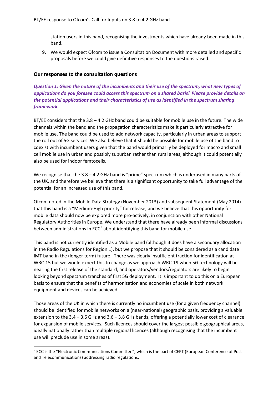station users in this band, recognising the investments which have already been made in this band.

9. We would expect Ofcom to issue a Consultation Document with more detailed and specific proposals before we could give definitive responses to the questions raised.

#### **Our responses to the consultation questions**

 $\overline{a}$ 

*Question 1: Given the nature of the incumbents and their use of the spectrum, what new types of applications do you foresee could access this spectrum on a shared basis? Please provide details on the potential applications and their characteristics of use as identified in the spectrum sharing framework.*

BT/EE considers that the 3.8 – 4.2 GHz band could be suitable for mobile use in the future. The wide channels within the band and the propagation characteristics make it particularly attractive for mobile use. The band could be used to add network capacity, particularly in urban areas to support the roll out of 5G services. We also believe that it should be possible for mobile use of the band to coexist with incumbent users given that the band would primarily be deployed for macro and small cell mobile use in urban and possibly suburban rather than rural areas, although it could potentially also be used for indoor femtocells.

We recognise that the 3.8 – 4.2 GHz band is "prime" spectrum which is underused in many parts of the UK, and therefore we believe that there is a significant opportunity to take full advantage of the potential for an increased use of this band.

Ofcom noted in the Mobile Data Strategy (November 2013) and subsequent Statement (May 2014) that this band is a "Medium-High priority" for release, and we believe that this opportunity for mobile data should now be explored more pro-actively, in conjunction with other National Regulatory Authorities in Europe. We understand that there have already been informal discussions between administrations in  $ECC<sup>2</sup>$  $ECC<sup>2</sup>$  $ECC<sup>2</sup>$  about identifying this band for mobile use.

This band is not currently identified as a Mobile band (although it does have a secondary allocation in the Radio Regulations for Region 1), but we propose that it should be considered as a candidate IMT band in the (longer term) future. There was clearly insufficient traction for identification at WRC-15 but we would expect this to change as we approach WRC-19 when 5G technology will be nearing the first release of the standard, and operators/vendors/regulators are likely to begin looking beyond spectrum tranches of first 5G deployment. It is important to do this on a European basis to ensure that the benefits of harmonisation and economies of scale in both network equipment and devices can be achieved.

Those areas of the UK in which there is currently no incumbent use (for a given frequency channel) should be identified for mobile networks on a (near-national) geographic basis, providing a valuable extension to the 3.4 – 3.6 GHz and 3.6 – 3.8 GHz bands, offering a potentially lower cost of clearance for expansion of mobile services. Such licences should cover the largest possible geographical areas, ideally nationally rather than multiple regional licences (although recognising that the incumbent use will preclude use in some areas).

<span id="page-2-0"></span><sup>&</sup>lt;sup>2</sup> ECC is the "Electronic Communications Committee", which is the part of CEPT (European Conference of Post and Telecommunications) addressing radio regulations.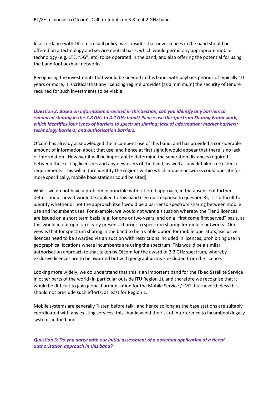In accordance with Ofcom's usual policy, we consider that new licences in the band should be offered on a technology and service neutral basis, which would permit any appropriate mobile technology (e.g. LTE, "5G", etc) to be operated in the band, and also offering the potential for using the band for backhaul networks.

Recognising the investments that would be needed in this band, with payback periods of typically 10 years or more, it is critical that any licensing regime provides (as a minimum) the security of tenure required for such investments to be viable.

## *Question 2: Based on information provided in this Section, can you identify any barriers to enhanced sharing in the 3.8 GHz to 4.2 GHz band? Please use the Spectrum Sharing Framework, which identifies four types of barriers to spectrum sharing: lack of information; market barriers; technology barriers; and authorisation barriers.*

Ofcom has already acknowledged the incumbent use of this band, and has provided a considerable amount of information about that use, and hence at first sight it would appear that there is no lack of information. However it will be important to determine the separation distances required between the existing licensees and any new users of the band, as well as any detailed coexistence requirements. This will in turn identify the regions within which mobile networks could operate (or more specifically, mobile base stations could be sited).

Whilst we do not have a problem in principle with a Tiered approach, in the absence of further details about how it would be applied to this band (see our response to question 3), it is difficult to identify whether or not the approach itself would be a barrier to spectrum sharing between mobile use and incumbent uses. For example, we would not want a situation whereby the Tier 2 licences are issued on a short term basis (e.g. for one or two years) and on a "first come first served" basis, as this would in our opinion clearly present a barrier to spectrum sharing for mobile networks. Our view is that for spectrum sharing in the band to be a viable option for mobile operators, exclusive licences need to be awarded via an auction with restrictions included in licences, prohibiting use in geographical locations where incumbents are using the spectrum. This would be a similar authorisation approach to that taken by Ofcom for the award of 2.3 GHz spectrum, whereby exclusive licences are to be awarded but with geographic areas excluded from the licence.

Looking more widely, we do understand that this is an important band for the Fixed Satellite Service in other parts of the world (in particular outside ITU Region 1), and therefore we recognise that it would be difficult to gain global harmonisation for the Mobile Service / IMT, but nevertheless this should not preclude such efforts, at least for Region 1.

Mobile systems are generally "listen before talk" and hence so long as the base stations are suitably coordinated with any existing services, this should avoid the risk of interference to incumbent/legacy systems in the band.

*Question 3: Do you agree with our initial assessment of a potential application of a tiered authorisation approach in this band?*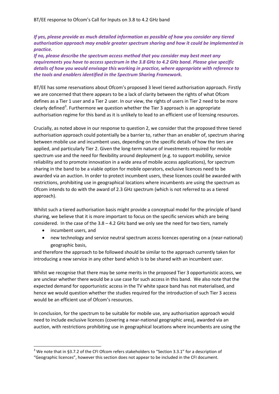## *If yes, please provide as much detailed information as possible of how you consider any tiered authorisation approach may enable greater spectrum sharing and how it could be implemented in practice.*

*If no, please describe the spectrum access method that you consider may best meet any requirements you have to access spectrum in the 3.8 GHz to 4.2 GHz band. Please give specific details of how you would envisage this working in practice, where appropriate with reference to the tools and enablers identified in the Spectrum Sharing Framework.*

BT/EE has some reservations about Ofcom's proposed 3 level tiered authorisation approach. Firstly we are concerned that there appears to be a lack of clarity between the rights of what Ofcom defines as a Tier 1 user and a Tier 2 user. In our view, the rights of users in Tier 2 need to be more clearly defined<sup>[3](#page-4-0)</sup>. Furthermore we question whether the Tier 3 approach is an appropriate authorisation regime for this band as it is unlikely to lead to an efficient use of licensing resources.

Crucially, as noted above in our response to question 2, we consider that the proposed three tiered authorisation approach could potentially be a barrier to, rather than an enabler of, spectrum sharing between mobile use and incumbent uses, depending on the specific details of how the tiers are applied, and particularly Tier 2. Given the long-term nature of investments required for mobile spectrum use and the need for flexibility around deployment (e.g. to support mobility, service reliability and to promote innovation in a wide area of mobile access applications), for spectrum sharing in the band to be a viable option for mobile operators, exclusive licences need to be awarded via an auction. In order to protect incumbent users, these licences could be awarded with restrictions, prohibiting use in geographical locations where incumbents are using the spectrum as Ofcom intends to do with the award of 2.3 GHz spectrum (which is not referred to as a tiered approach).

Whilst such a tiered authorisation basis might provide a conceptual model for the principle of band sharing, we believe that it is more important to focus on the specific services which are being considered. In the case of the  $3.8 - 4.2$  GHz band we only see the need for two tiers, namely

• incumbent users, and

 $\overline{a}$ 

• new technology and service neutral spectrum access licences operating on a (near-national) geographic basis,

and therefore the approach to be followed should be similar to the approach currently taken for introducing a new service in any other band which is to be shared with an incumbent user.

Whilst we recognise that there may be some merits in the proposed Tier 3 opportunistic access, we are unclear whether there would be a use case for such access in this band. We also note that the expected demand for opportunistic access in the TV white space band has not materialised, and hence we would question whether the studies required for the introduction of such Tier 3 access would be an efficient use of Ofcom's resources.

In conclusion, for the spectrum to be suitable for mobile use, any authorisation approach would need to include exclusive licences (covering a near-national geographic area), awarded via an auction, with restrictions prohibiting use in geographical locations where incumbents are using the

<span id="page-4-0"></span> $3$  We note that in §3.7.2 of the CFI Ofcom refers stakeholders to "Section 3.3.1" for a description of "Geographic licences", however this section does not appear to be included in the CFI document.